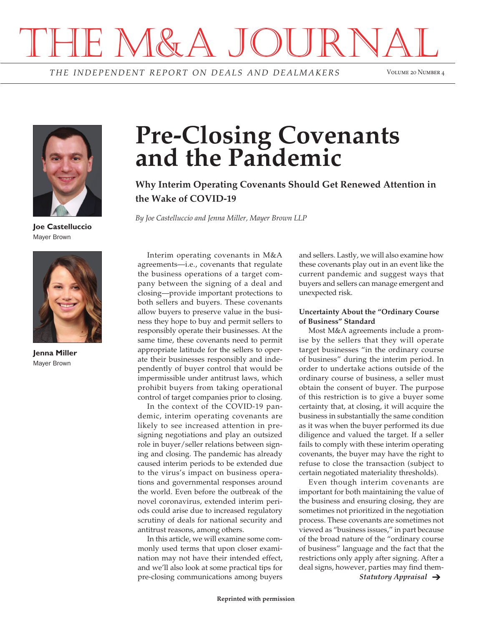# THE M&A JOURNAL

*THE INDEPENDENT REPORT O N DEALS AND DEALMAKERS* Volume 20 Number 4



**Joe Castelluccio** Mayer Brown



**Jenna Miller** Mayer Brown

# **Pre-Closing Covenants and the Pandemic**

**Why Interim Operating Covenants Should Get Renewed Attention in the Wake of COVID-19**

*By Joe Castelluccio and Jenna Miller, Mayer Brown LLP*

Interim operating covenants in M&A agreements—i.e., covenants that regulate the business operations of a target company between the signing of a deal and closing—provide important protections to both sellers and buyers. These covenants allow buyers to preserve value in the business they hope to buy and permit sellers to responsibly operate their businesses. At the same time, these covenants need to permit appropriate latitude for the sellers to operate their businesses responsibly and independently of buyer control that would be impermissible under antitrust laws, which prohibit buyers from taking operational control of target companies prior to closing.

In the context of the COVID-19 pandemic, interim operating covenants are likely to see increased attention in presigning negotiations and play an outsized role in buyer/seller relations between signing and closing. The pandemic has already caused interim periods to be extended due to the virus's impact on business operations and governmental responses around the world. Even before the outbreak of the novel coronavirus, extended interim periods could arise due to increased regulatory scrutiny of deals for national security and antitrust reasons, among others.

In this article, we will examine some commonly used terms that upon closer examination may not have their intended effect, and we'll also look at some practical tips for pre-closing communications among buyers

and sellers. Lastly, we will also examine how these covenants play out in an event like the current pandemic and suggest ways that buyers and sellers can manage emergent and unexpected risk.

#### **Uncertainty About the "Ordinary Course of Business" Standard**

Most M&A agreements include a promise by the sellers that they will operate target businesses "in the ordinary course of business" during the interim period. In order to undertake actions outside of the ordinary course of business, a seller must obtain the consent of buyer. The purpose of this restriction is to give a buyer some certainty that, at closing, it will acquire the business in substantially the same condition as it was when the buyer performed its due diligence and valued the target. If a seller fails to comply with these interim operating covenants, the buyer may have the right to refuse to close the transaction (subject to certain negotiated materiality thresholds).

Even though interim covenants are important for both maintaining the value of the business and ensuring closing, they are sometimes not prioritized in the negotiation process. These covenants are sometimes not viewed as "business issues," in part because of the broad nature of the "ordinary course of business" language and the fact that the restrictions only apply after signing. After a deal signs, however, parties may find them-

*Statutory Appraisal*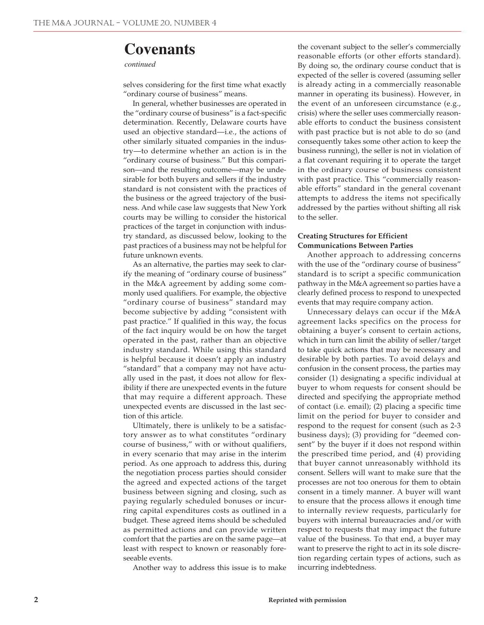### **Covenants**

#### *continued*

selves considering for the first time what exactly "ordinary course of business" means.

In general, whether businesses are operated in the "ordinary course of business" is a fact-specific determination. Recently, Delaware courts have used an objective standard—i.e., the actions of other similarly situated companies in the industry—to determine whether an action is in the "ordinary course of business." But this comparison—and the resulting outcome—may be undesirable for both buyers and sellers if the industry standard is not consistent with the practices of the business or the agreed trajectory of the business. And while case law suggests that New York courts may be willing to consider the historical practices of the target in conjunction with industry standard, as discussed below, looking to the past practices of a business may not be helpful for future unknown events.

As an alternative, the parties may seek to clarify the meaning of "ordinary course of business" in the M&A agreement by adding some commonly used qualifiers. For example, the objective "ordinary course of business" standard may become subjective by adding "consistent with past practice." If qualified in this way, the focus of the fact inquiry would be on how the target operated in the past, rather than an objective industry standard. While using this standard is helpful because it doesn't apply an industry "standard" that a company may not have actually used in the past, it does not allow for flexibility if there are unexpected events in the future that may require a different approach. These unexpected events are discussed in the last section of this article.

Ultimately, there is unlikely to be a satisfactory answer as to what constitutes "ordinary course of business," with or without qualifiers, in every scenario that may arise in the interim period. As one approach to address this, during the negotiation process parties should consider the agreed and expected actions of the target business between signing and closing, such as paying regularly scheduled bonuses or incurring capital expenditures costs as outlined in a budget. These agreed items should be scheduled as permitted actions and can provide written comfort that the parties are on the same page—at least with respect to known or reasonably foreseeable events.

Another way to address this issue is to make

the covenant subject to the seller's commercially reasonable efforts (or other efforts standard). By doing so, the ordinary course conduct that is expected of the seller is covered (assuming seller is already acting in a commercially reasonable manner in operating its business). However, in the event of an unforeseen circumstance (e.g., crisis) where the seller uses commercially reasonable efforts to conduct the business consistent with past practice but is not able to do so (and consequently takes some other action to keep the business running), the seller is not in violation of a flat covenant requiring it to operate the target in the ordinary course of business consistent with past practice. This "commercially reasonable efforts" standard in the general covenant attempts to address the items not specifically addressed by the parties without shifting all risk to the seller.

#### **Creating Structures for Efficient Communications Between Parties**

Another approach to addressing concerns with the use of the "ordinary course of business" standard is to script a specific communication pathway in the M&A agreement so parties have a clearly defined process to respond to unexpected events that may require company action.

Unnecessary delays can occur if the M&A agreement lacks specifics on the process for obtaining a buyer's consent to certain actions, which in turn can limit the ability of seller/target to take quick actions that may be necessary and desirable by both parties. To avoid delays and confusion in the consent process, the parties may consider (1) designating a specific individual at buyer to whom requests for consent should be directed and specifying the appropriate method of contact (i.e. email); (2) placing a specific time limit on the period for buyer to consider and respond to the request for consent (such as 2-3 business days); (3) providing for "deemed consent" by the buyer if it does not respond within the prescribed time period, and (4) providing that buyer cannot unreasonably withhold its consent. Sellers will want to make sure that the processes are not too onerous for them to obtain consent in a timely manner. A buyer will want to ensure that the process allows it enough time to internally review requests, particularly for buyers with internal bureaucracies and/or with respect to requests that may impact the future value of the business. To that end, a buyer may want to preserve the right to act in its sole discretion regarding certain types of actions, such as incurring indebtedness.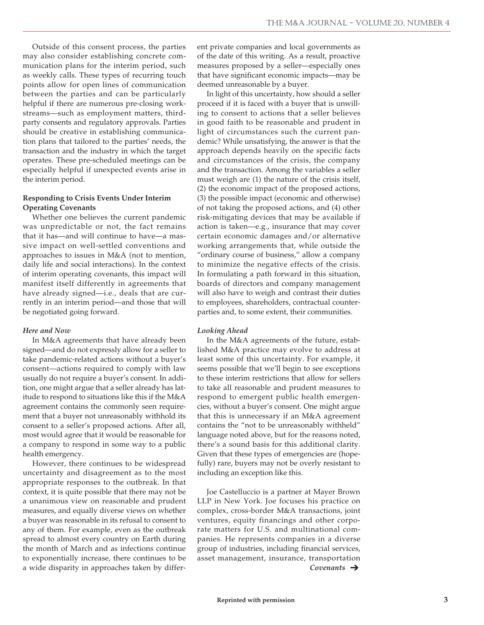Outside of this consent process, the parties may also consider establishing concrete communication plans for the interim period, such as weekly calls. These types of recurring touch points allow for open lines of communication between the parties and can be particularly helpful if there are numerous pre-closing workstreams—such as employment matters, thirdparty consents and regulatory approvals. Parties should be creative in establishing communication plans that tailored to the parties' needs, the transaction and the industry in which the target operates. These pre-scheduled meetings can be especially helpful if unexpected events arise in the interim period.

#### **Responding to Crisis Events Under Interim Operating Covenants**

Whether one believes the current pandemic was unpredictable or not, the fact remains that it has—and will continue to have—a massive impact on well-settled conventions and approaches to issues in M&A (not to mention, daily life and social interactions). In the context of interim operating covenants, this impact will manifest itself differently in agreements that have already signed—i.e., deals that are currently in an interim period—and those that will be negotiated going forward.

#### *Here and Now*

In M&A agreements that have already been signed—and do not expressly allow for a seller to take pandemic-related actions without a buyer's consent—actions required to comply with law usually do not require a buyer's consent. In addition, one might argue that a seller already has latitude to respond to situations like this if the M&A agreement contains the commonly seen requirement that a buyer not unreasonably withhold its consent to a seller's proposed actions. After all, most would agree that it would be reasonable for a company to respond in some way to a public health emergency.

However, there continues to be widespread uncertainty and disagreement as to the most appropriate responses to the outbreak. In that context, it is quite possible that there may not be a unanimous view on reasonable and prudent measures, and equally diverse views on whether a buyer was reasonable in its refusal to consent to any of them. For example, even as the outbreak spread to almost every country on Earth during the month of March and as infections continue to exponentially increase, there continues to be a wide disparity in approaches taken by different private companies and local governments as of the date of this writing. As a result, proactive measures proposed by a seller—especially ones that have significant economic impacts—may be deemed unreasonable by a buyer.

In light of this uncertainty, how should a seller proceed if it is faced with a buyer that is unwilling to consent to actions that a seller believes in good faith to be reasonable and prudent in light of circumstances such the current pandemic? While unsatisfying, the answer is that the approach depends heavily on the specific facts and circumstances of the crisis, the company and the transaction. Among the variables a seller must weigh are (1) the nature of the crisis itself, (2) the economic impact of the proposed actions, (3) the possible impact (economic and otherwise) of not taking the proposed actions, and (4) other risk-mitigating devices that may be available if action is taken—e.g., insurance that may cover certain economic damages and/or alternative working arrangements that, while outside the "ordinary course of business," allow a company to minimize the negative effects of the crisis. In formulating a path forward in this situation, boards of directors and company management will also have to weigh and contrast their duties to employees, shareholders, contractual counterparties and, to some extent, their communities.

#### *Looking Ahead*

In the M&A agreements of the future, established M&A practice may evolve to address at least some of this uncertainty. For example, it seems possible that we'll begin to see exceptions to these interim restrictions that allow for sellers to take all reasonable and prudent measures to respond to emergent public health emergencies, without a buyer's consent. One might argue that this is unnecessary if an M&A agreement contains the "not to be unreasonably withheld" language noted above, but for the reasons noted, there's a sound basis for this additional clarity. Given that these types of emergencies are (hopefully) rare, buyers may not be overly resistant to including an exception like this.

Joe Castelluccio is a partner at Mayer Brown LLP in New York. Joe focuses his practice on complex, cross-border M&A transactions, joint ventures, equity financings and other corporate matters for U.S. and multinational companies. He represents companies in a diverse group of industries, including financial services, asset management, insurance, transportation *Covenants*